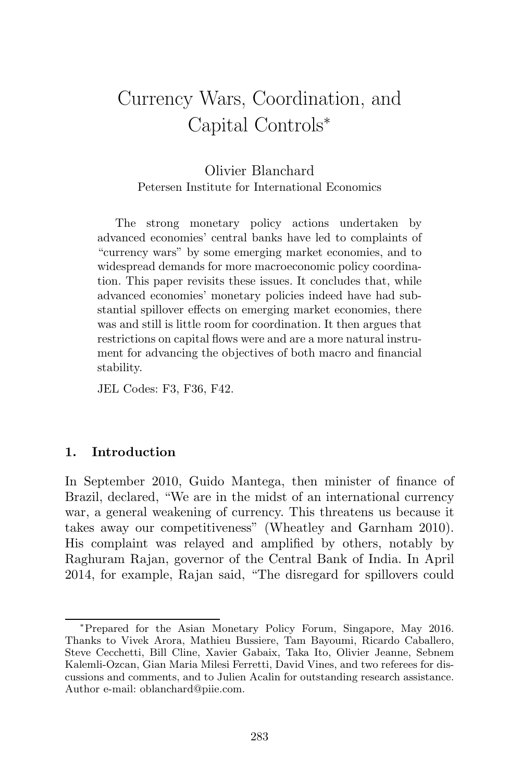# Currency Wars, Coordination, and Capital Controls<sup>∗</sup>

Olivier Blanchard Petersen Institute for International Economics

The strong monetary policy actions undertaken by advanced economies' central banks have led to complaints of "currency wars" by some emerging market economies, and to widespread demands for more macroeconomic policy coordination. This paper revisits these issues. It concludes that, while advanced economies' monetary policies indeed have had substantial spillover effects on emerging market economies, there was and still is little room for coordination. It then argues that restrictions on capital flows were and are a more natural instrument for advancing the objectives of both macro and financial stability.

JEL Codes: F3, F36, F42.

#### **1. Introduction**

In September 2010, Guido Mantega, then minister of finance of Brazil, declared, "We are in the midst of an international currency war, a general weakening of currency. This threatens us because it takes away our competitiveness" (Wheatley and Garnham 2010). His complaint was relayed and amplified by others, notably by Raghuram Rajan, governor of the Central Bank of India. In April 2014, for example, Rajan said, "The disregard for spillovers could

<sup>∗</sup>Prepared for the Asian Monetary Policy Forum, Singapore, May 2016. Thanks to Vivek Arora, Mathieu Bussiere, Tam Bayoumi, Ricardo Caballero, Steve Cecchetti, Bill Cline, Xavier Gabaix, Taka Ito, Olivier Jeanne, Sebnem Kalemli-Ozcan, Gian Maria Milesi Ferretti, David Vines, and two referees for discussions and comments, and to Julien Acalin for outstanding research assistance. Author e-mail: oblanchard@piie.com.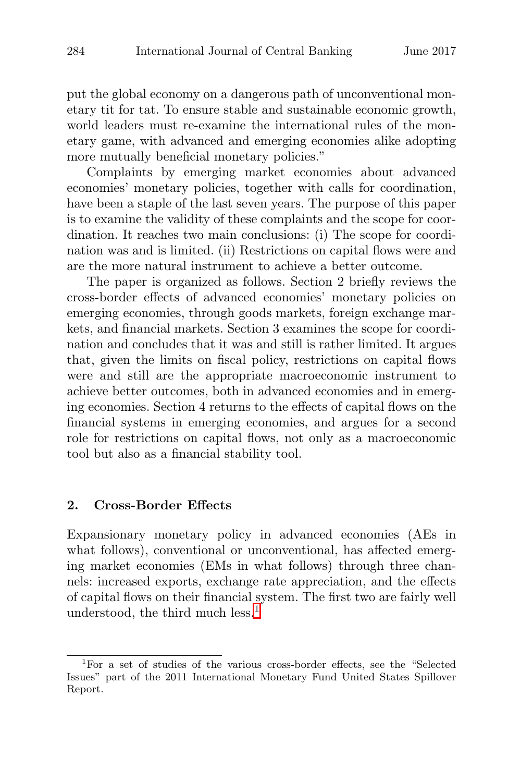put the global economy on a dangerous path of unconventional monetary tit for tat. To ensure stable and sustainable economic growth, world leaders must re-examine the international rules of the monetary game, with advanced and emerging economies alike adopting more mutually beneficial monetary policies."

Complaints by emerging market economies about advanced economies' monetary policies, together with calls for coordination, have been a staple of the last seven years. The purpose of this paper is to examine the validity of these complaints and the scope for coordination. It reaches two main conclusions: (i) The scope for coordination was and is limited. (ii) Restrictions on capital flows were and are the more natural instrument to achieve a better outcome.

The paper is organized as follows. Section 2 briefly reviews the cross-border effects of advanced economies' monetary policies on emerging economies, through goods markets, foreign exchange markets, and financial markets. Section 3 examines the scope for coordination and concludes that it was and still is rather limited. It argues that, given the limits on fiscal policy, restrictions on capital flows were and still are the appropriate macroeconomic instrument to achieve better outcomes, both in advanced economies and in emerging economies. Section 4 returns to the effects of capital flows on the financial systems in emerging economies, and argues for a second role for restrictions on capital flows, not only as a macroeconomic tool but also as a financial stability tool.

#### **2. Cross-Border Effects**

Expansionary monetary policy in advanced economies (AEs in what follows), conventional or unconventional, has affected emerging market economies (EMs in what follows) through three channels: increased exports, exchange rate appreciation, and the effects of capital flows on their financial system. The first two are fairly well understood, the third much less.<sup>1</sup>

<sup>&</sup>lt;sup>1</sup>For a set of studies of the various cross-border effects, see the "Selected" Issues" part of the 2011 International Monetary Fund United States Spillover Report.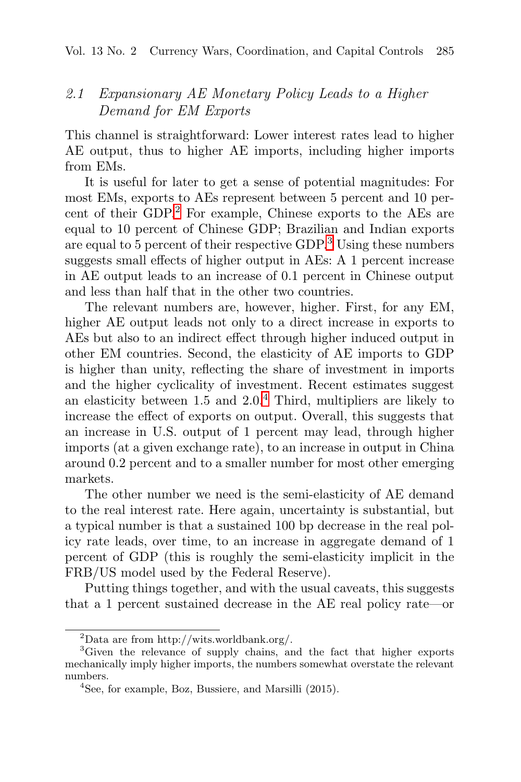## 2.1 Expansionary AE Monetary Policy Leads to a Higher Demand for EM Exports

This channel is straightforward: Lower interest rates lead to higher AE output, thus to higher AE imports, including higher imports from EMs.

It is useful for later to get a sense of potential magnitudes: For most EMs, exports to AEs represent between 5 percent and 10 percent of their GDP.<sup>2</sup> For example, Chinese exports to the AEs are equal to 10 percent of Chinese GDP; Brazilian and Indian exports are equal to 5 percent of their respective  $GDP<sup>3</sup>$  Using these numbers suggests small effects of higher output in AEs: A 1 percent increase in AE output leads to an increase of 0.1 percent in Chinese output and less than half that in the other two countries.

The relevant numbers are, however, higher. First, for any EM, higher AE output leads not only to a direct increase in exports to AEs but also to an indirect effect through higher induced output in other EM countries. Second, the elasticity of AE imports to GDP is higher than unity, reflecting the share of investment in imports and the higher cyclicality of investment. Recent estimates suggest an elasticity between  $1.5$  and  $2.0<sup>4</sup>$  Third, multipliers are likely to increase the effect of exports on output. Overall, this suggests that an increase in U.S. output of 1 percent may lead, through higher imports (at a given exchange rate), to an increase in output in China around 0.2 percent and to a smaller number for most other emerging markets.

The other number we need is the semi-elasticity of AE demand to the real interest rate. Here again, uncertainty is substantial, but a typical number is that a sustained 100 bp decrease in the real policy rate leads, over time, to an increase in aggregate demand of 1 percent of GDP (this is roughly the semi-elasticity implicit in the FRB/US model used by the Federal Reserve).

Putting things together, and with the usual caveats, this suggests that a 1 percent sustained decrease in the AE real policy rate—or

 $^2\rm{Data}$  are from http://wits.worldbank.org/.

<sup>&</sup>lt;sup>3</sup>Given the relevance of supply chains, and the fact that higher exports mechanically imply higher imports, the numbers somewhat overstate the relevant numbers.<br><sup>4</sup>See, for example, Boz, Bussiere, and Marsilli (2015).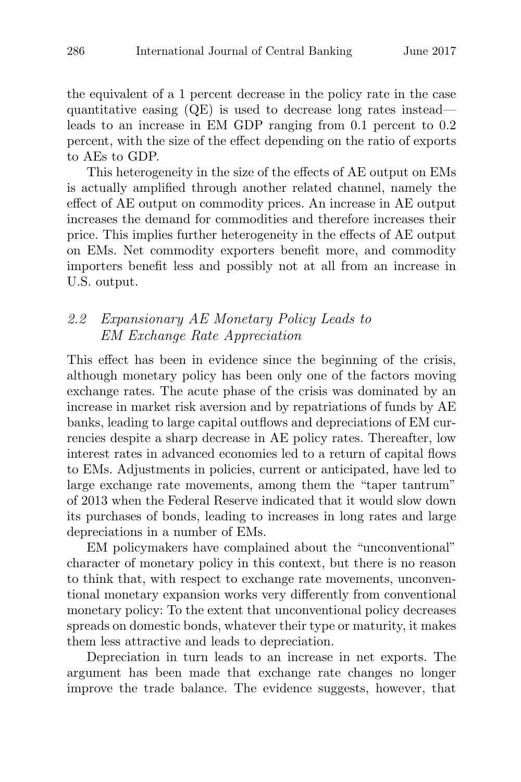the equivalent of a 1 percent decrease in the policy rate in the case quantitative easing (QE) is used to decrease long rates instead leads to an increase in EM GDP ranging from 0.1 percent to 0.2 percent, with the size of the effect depending on the ratio of exports to AEs to GDP.

This heterogeneity in the size of the effects of AE output on EMs is actually amplified through another related channel, namely the effect of AE output on commodity prices. An increase in AE output increases the demand for commodities and therefore increases their price. This implies further heterogeneity in the effects of AE output on EMs. Net commodity exporters benefit more, and commodity importers benefit less and possibly not at all from an increase in U.S. output.

# 2.2 Expansionary AE Monetary Policy Leads to EM Exchange Rate Appreciation

This effect has been in evidence since the beginning of the crisis, although monetary policy has been only one of the factors moving exchange rates. The acute phase of the crisis was dominated by an increase in market risk aversion and by repatriations of funds by AE banks, leading to large capital outflows and depreciations of EM currencies despite a sharp decrease in AE policy rates. Thereafter, low interest rates in advanced economies led to a return of capital flows to EMs. Adjustments in policies, current or anticipated, have led to large exchange rate movements, among them the "taper tantrum" of 2013 when the Federal Reserve indicated that it would slow down its purchases of bonds, leading to increases in long rates and large depreciations in a number of EMs.

EM policymakers have complained about the "unconventional" character of monetary policy in this context, but there is no reason to think that, with respect to exchange rate movements, unconventional monetary expansion works very differently from conventional monetary policy: To the extent that unconventional policy decreases spreads on domestic bonds, whatever their type or maturity, it makes them less attractive and leads to depreciation.

Depreciation in turn leads to an increase in net exports. The argument has been made that exchange rate changes no longer improve the trade balance. The evidence suggests, however, that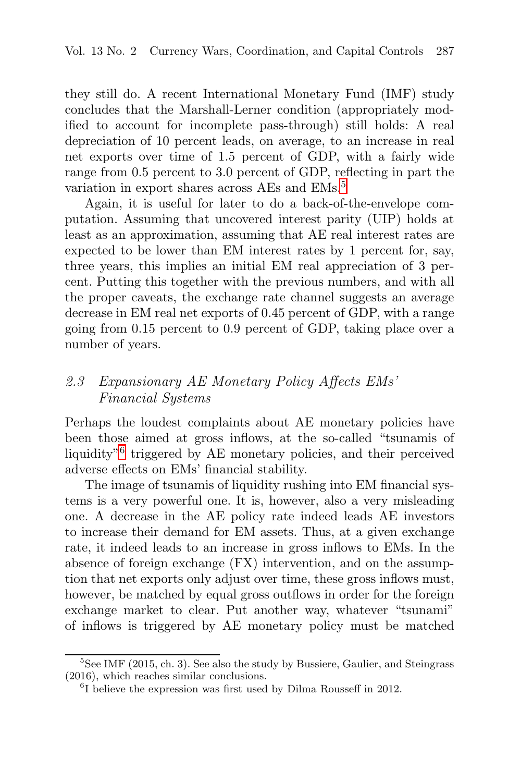they still do. A recent International Monetary Fund (IMF) study concludes that the Marshall-Lerner condition (appropriately modified to account for incomplete pass-through) still holds: A real depreciation of 10 percent leads, on average, to an increase in real net exports over time of 1.5 percent of GDP, with a fairly wide range from 0.5 percent to 3.0 percent of GDP, reflecting in part the variation in export shares across AEs and EMs.<sup>5</sup>

Again, it is useful for later to do a back-of-the-envelope computation. Assuming that uncovered interest parity (UIP) holds at least as an approximation, assuming that AE real interest rates are expected to be lower than EM interest rates by 1 percent for, say, three years, this implies an initial EM real appreciation of 3 percent. Putting this together with the previous numbers, and with all the proper caveats, the exchange rate channel suggests an average decrease in EM real net exports of 0.45 percent of GDP, with a range going from 0.15 percent to 0.9 percent of GDP, taking place over a number of years.

## 2.3 Expansionary AE Monetary Policy Affects EMs' Financial Systems

Perhaps the loudest complaints about AE monetary policies have been those aimed at gross inflows, at the so-called "tsunamis of liquidity"<sup>6</sup> triggered by AE monetary policies, and their perceived adverse effects on EMs' financial stability.

The image of tsunamis of liquidity rushing into EM financial systems is a very powerful one. It is, however, also a very misleading one. A decrease in the AE policy rate indeed leads AE investors to increase their demand for EM assets. Thus, at a given exchange rate, it indeed leads to an increase in gross inflows to EMs. In the absence of foreign exchange (FX) intervention, and on the assumption that net exports only adjust over time, these gross inflows must, however, be matched by equal gross outflows in order for the foreign exchange market to clear. Put another way, whatever "tsunami" of inflows is triggered by AE monetary policy must be matched

 ${}^{5}$ See IMF (2015, ch. 3). See also the study by Bussiere, Gaulier, and Steingrass (2016), which reaches similar conclusions.<br><sup>6</sup>I believe the expression was first used by Dilma Rousseff in 2012.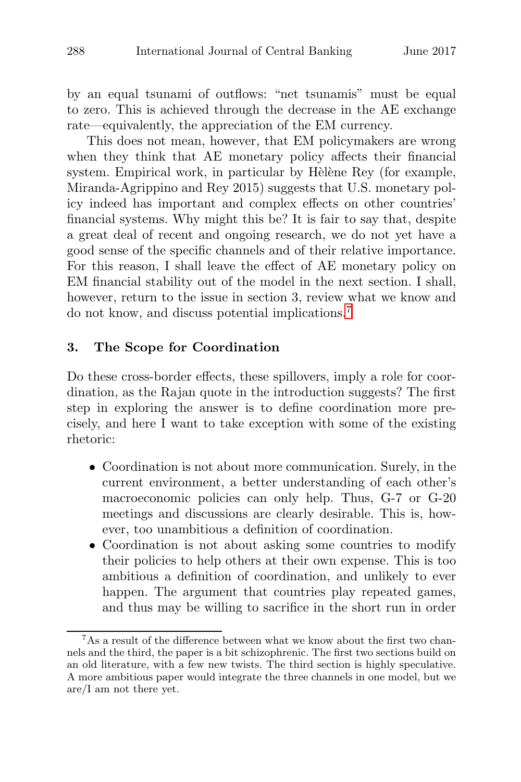by an equal tsunami of outflows: "net tsunamis" must be equal to zero. This is achieved through the decrease in the AE exchange rate—equivalently, the appreciation of the EM currency.

This does not mean, however, that EM policymakers are wrong when they think that AE monetary policy affects their financial system. Empirical work, in particular by Hèlène Rey (for example, Miranda-Agrippino and Rey 2015) suggests that U.S. monetary policy indeed has important and complex effects on other countries' financial systems. Why might this be? It is fair to say that, despite a great deal of recent and ongoing research, we do not yet have a good sense of the specific channels and of their relative importance. For this reason, I shall leave the effect of AE monetary policy on EM financial stability out of the model in the next section. I shall, however, return to the issue in section 3, review what we know and do not know, and discuss potential implications.<sup>7</sup>

#### **3. The Scope for Coordination**

Do these cross-border effects, these spillovers, imply a role for coordination, as the Rajan quote in the introduction suggests? The first step in exploring the answer is to define coordination more precisely, and here I want to take exception with some of the existing rhetoric:

- Coordination is not about more communication. Surely, in the current environment, a better understanding of each other's macroeconomic policies can only help. Thus, G-7 or G-20 meetings and discussions are clearly desirable. This is, however, too unambitious a definition of coordination.
- Coordination is not about asking some countries to modify their policies to help others at their own expense. This is too ambitious a definition of coordination, and unlikely to ever happen. The argument that countries play repeated games, and thus may be willing to sacrifice in the short run in order

 $7As$  a result of the difference between what we know about the first two channels and the third, the paper is a bit schizophrenic. The first two sections build on an old literature, with a few new twists. The third section is highly speculative. A more ambitious paper would integrate the three channels in one model, but we are/I am not there yet.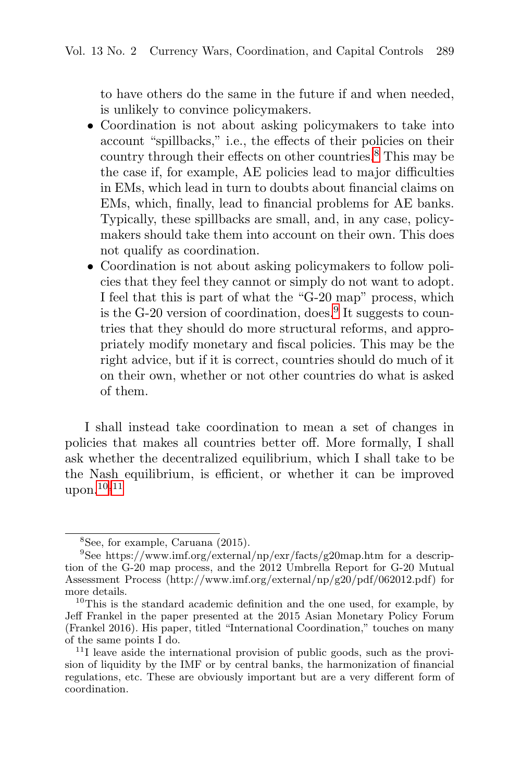to have others do the same in the future if and when needed, is unlikely to convince policymakers.

- Coordination is not about asking policymakers to take into account "spillbacks," i.e., the effects of their policies on their country through their effects on other countries.<sup>8</sup> This may be the case if, for example, AE policies lead to major difficulties in EMs, which lead in turn to doubts about financial claims on EMs, which, finally, lead to financial problems for AE banks. Typically, these spillbacks are small, and, in any case, policymakers should take them into account on their own. This does not qualify as coordination.
- Coordination is not about asking policymakers to follow policies that they feel they cannot or simply do not want to adopt. I feel that this is part of what the "G-20 map" process, which is the G-20 version of coordination, does.<sup>9</sup> It suggests to countries that they should do more structural reforms, and appropriately modify monetary and fiscal policies. This may be the right advice, but if it is correct, countries should do much of it on their own, whether or not other countries do what is asked of them.

I shall instead take coordination to mean a set of changes in policies that makes all countries better off. More formally, I shall ask whether the decentralized equilibrium, which I shall take to be the Nash equilibrium, is efficient, or whether it can be improved upon.<sup>10</sup>,<sup>11</sup>

<sup>8</sup>See, for example, Caruana (2015).

<sup>&</sup>lt;sup>9</sup>See https://www.imf.org/external/np/exr/facts/g20map.htm for a description of the G-20 map process, and the 2012 Umbrella Report for G-20 Mutual Assessment Process (http://www.imf.org/external/np/g20/pdf/062012.pdf) for more details.  $10$ This is the standard academic definition and the one used, for example, by

Jeff Frankel in the paper presented at the 2015 Asian Monetary Policy Forum (Frankel 2016). His paper, titled "International Coordination," touches on many of the same points I do.<br> $11I$  leave aside the international provision of public goods, such as the provi-

sion of liquidity by the IMF or by central banks, the harmonization of financial regulations, etc. These are obviously important but are a very different form of coordination.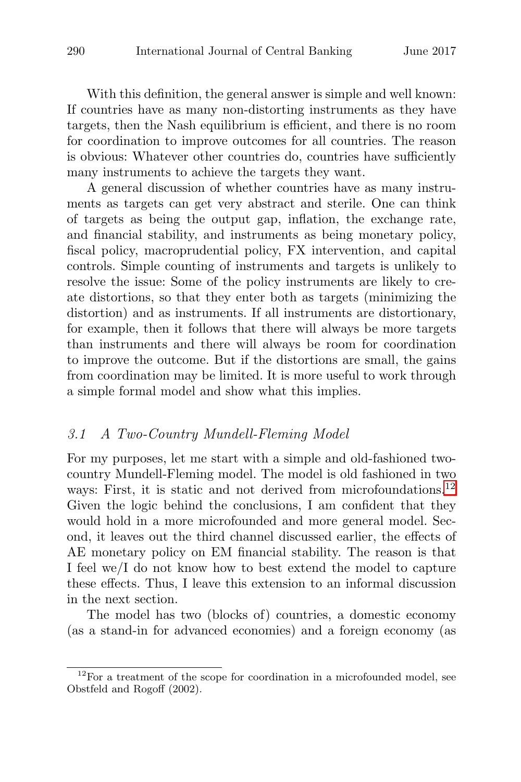With this definition, the general answer is simple and well known: If countries have as many non-distorting instruments as they have targets, then the Nash equilibrium is efficient, and there is no room for coordination to improve outcomes for all countries. The reason is obvious: Whatever other countries do, countries have sufficiently many instruments to achieve the targets they want.

A general discussion of whether countries have as many instruments as targets can get very abstract and sterile. One can think of targets as being the output gap, inflation, the exchange rate, and financial stability, and instruments as being monetary policy, fiscal policy, macroprudential policy, FX intervention, and capital controls. Simple counting of instruments and targets is unlikely to resolve the issue: Some of the policy instruments are likely to create distortions, so that they enter both as targets (minimizing the distortion) and as instruments. If all instruments are distortionary, for example, then it follows that there will always be more targets than instruments and there will always be room for coordination to improve the outcome. But if the distortions are small, the gains from coordination may be limited. It is more useful to work through a simple formal model and show what this implies.

#### 3.1 A Two-Country Mundell-Fleming Model

For my purposes, let me start with a simple and old-fashioned twocountry Mundell-Fleming model. The model is old fashioned in two ways: First, it is static and not derived from microfoundations.<sup>12</sup> Given the logic behind the conclusions, I am confident that they would hold in a more microfounded and more general model. Second, it leaves out the third channel discussed earlier, the effects of AE monetary policy on EM financial stability. The reason is that I feel we/I do not know how to best extend the model to capture these effects. Thus, I leave this extension to an informal discussion in the next section.

The model has two (blocks of) countries, a domestic economy (as a stand-in for advanced economies) and a foreign economy (as

 $12$ For a treatment of the scope for coordination in a microfounded model, see Obstfeld and Rogoff (2002).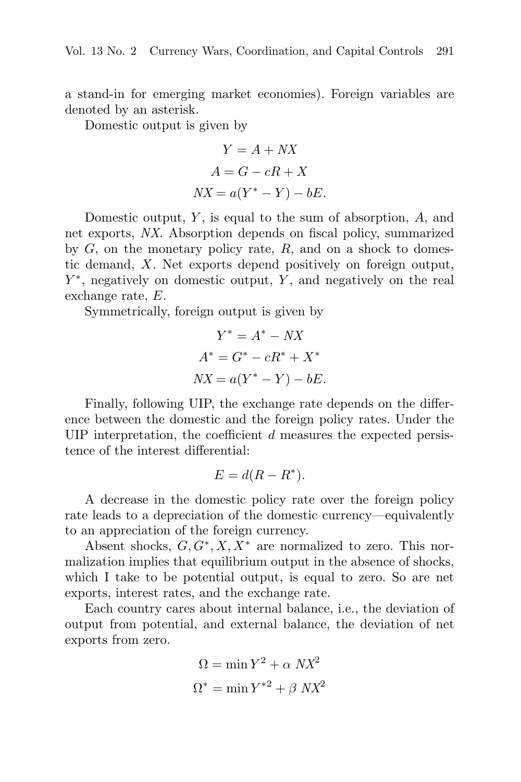a stand-in for emerging market economies). Foreign variables are denoted by an asterisk.

Domestic output is given by

$$
Y = A + NX
$$

$$
A = G - cR + X
$$

$$
NX = a(Y^* - Y) - bE.
$$

Domestic output,  $Y$ , is equal to the sum of absorption,  $A$ , and net exports, NX. Absorption depends on fiscal policy, summarized by  $G$ , on the monetary policy rate,  $R$ , and on a shock to domestic demand, X. Net exports depend positively on foreign output,  $Y^*$ , negatively on domestic output, Y, and negatively on the real exchange rate, E.

Symmetrically, foreign output is given by

$$
Y^* = A^* - NX
$$

$$
A^* = G^* - cR^* + X^*
$$

$$
NX = a(Y^* - Y) - bE.
$$

Finally, following UIP, the exchange rate depends on the difference between the domestic and the foreign policy rates. Under the UIP interpretation, the coefficient  $d$  measures the expected persistence of the interest differential:

$$
E = d(R - R^*).
$$

A decrease in the domestic policy rate over the foreign policy rate leads to a depreciation of the domestic currency—equivalently to an appreciation of the foreign currency.

Absent shocks,  $G, G^*, X, X^*$  are normalized to zero. This normalization implies that equilibrium output in the absence of shocks, which I take to be potential output, is equal to zero. So are net exports, interest rates, and the exchange rate.

Each country cares about internal balance, i.e., the deviation of output from potential, and external balance, the deviation of net exports from zero.

$$
\Omega = \min Y^2 + \alpha \, N X^2
$$

$$
\Omega^* = \min Y^{*2} + \beta \, N X^2
$$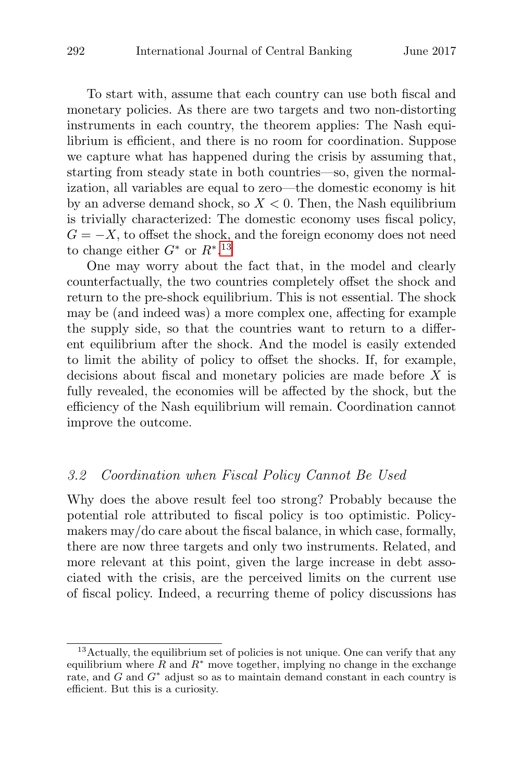To start with, assume that each country can use both fiscal and monetary policies. As there are two targets and two non-distorting instruments in each country, the theorem applies: The Nash equilibrium is efficient, and there is no room for coordination. Suppose we capture what has happened during the crisis by assuming that, starting from steady state in both countries—so, given the normalization, all variables are equal to zero—the domestic economy is hit by an adverse demand shock, so  $X < 0$ . Then, the Nash equilibrium is trivially characterized: The domestic economy uses fiscal policy,  $G = -X$ , to offset the shock, and the foreign economy does not need to change either  $G^*$  or  $R^*$ .<sup>13</sup>

One may worry about the fact that, in the model and clearly counterfactually, the two countries completely offset the shock and return to the pre-shock equilibrium. This is not essential. The shock may be (and indeed was) a more complex one, affecting for example the supply side, so that the countries want to return to a different equilibrium after the shock. And the model is easily extended to limit the ability of policy to offset the shocks. If, for example, decisions about fiscal and monetary policies are made before X is fully revealed, the economies will be affected by the shock, but the efficiency of the Nash equilibrium will remain. Coordination cannot improve the outcome.

#### 3.2 Coordination when Fiscal Policy Cannot Be Used

Why does the above result feel too strong? Probably because the potential role attributed to fiscal policy is too optimistic. Policymakers may/do care about the fiscal balance, in which case, formally, there are now three targets and only two instruments. Related, and more relevant at this point, given the large increase in debt associated with the crisis, are the perceived limits on the current use of fiscal policy. Indeed, a recurring theme of policy discussions has

<sup>&</sup>lt;sup>13</sup>Actually, the equilibrium set of policies is not unique. One can verify that any equilibrium where R and  $R^*$  move together, implying no change in the exchange rate, and  $G$  and  $G^*$  adjust so as to maintain demand constant in each country is efficient. But this is a curiosity.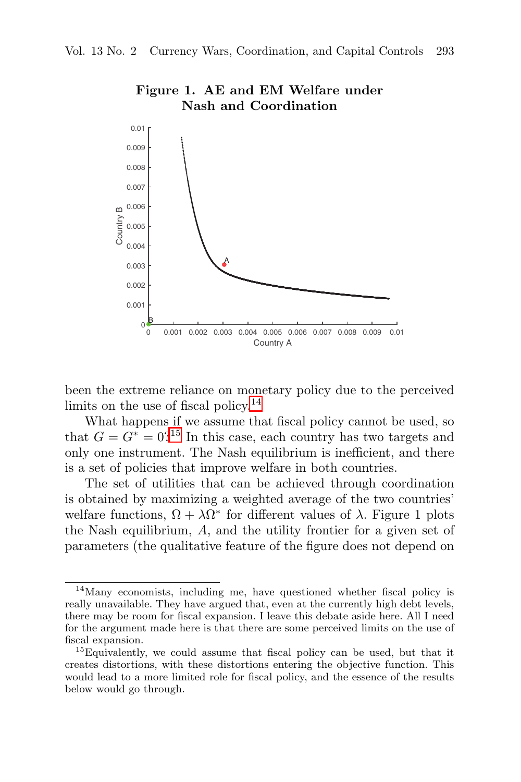

**Figure 1. AE and EM Welfare under Nash and Coordination**

been the extreme reliance on monetary policy due to the perceived limits on the use of fiscal policy.<sup>14</sup>

What happens if we assume that fiscal policy cannot be used, so that  $G = G^* = 0$ ?<sup>15</sup> In this case, each country has two targets and only one instrument. The Nash equilibrium is inefficient, and there is a set of policies that improve welfare in both countries.

The set of utilities that can be achieved through coordination is obtained by maximizing a weighted average of the two countries' welfare functions,  $\Omega + \lambda \Omega^*$  for different values of  $\lambda$ . Figure 1 plots the Nash equilibrium, A, and the utility frontier for a given set of parameters (the qualitative feature of the figure does not depend on

<sup>14</sup>Many economists, including me, have questioned whether fiscal policy is really unavailable. They have argued that, even at the currently high debt levels, there may be room for fiscal expansion. I leave this debate aside here. All I need for the argument made here is that there are some perceived limits on the use of fiscal expansion.  $15$ Equivalently, we could assume that fiscal policy can be used, but that it

creates distortions, with these distortions entering the objective function. This would lead to a more limited role for fiscal policy, and the essence of the results below would go through.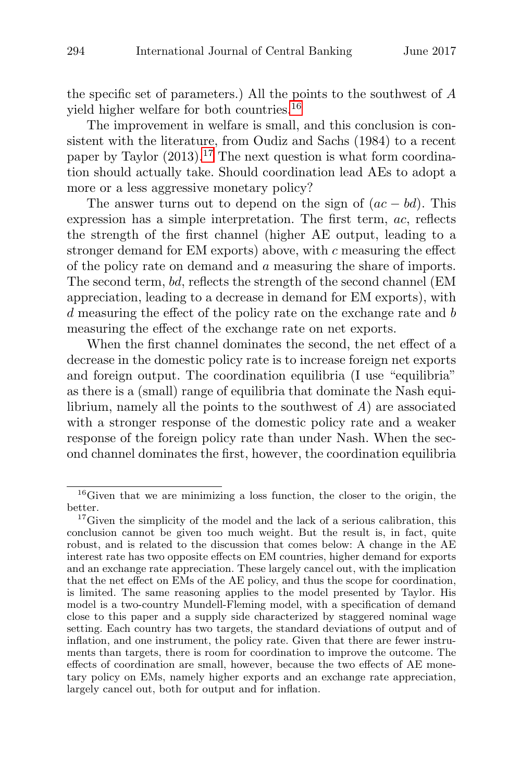the specific set of parameters.) All the points to the southwest of A yield higher welfare for both countries.<sup>16</sup>

The improvement in welfare is small, and this conclusion is consistent with the literature, from Oudiz and Sachs (1984) to a recent paper by Taylor  $(2013).<sup>17</sup>$  The next question is what form coordination should actually take. Should coordination lead AEs to adopt a more or a less aggressive monetary policy?

The answer turns out to depend on the sign of  $(ac - bd)$ . This expression has a simple interpretation. The first term, ac, reflects the strength of the first channel (higher AE output, leading to a stronger demand for EM exports) above, with  $c$  measuring the effect of the policy rate on demand and a measuring the share of imports. The second term, bd, reflects the strength of the second channel (EM appreciation, leading to a decrease in demand for EM exports), with d measuring the effect of the policy rate on the exchange rate and b measuring the effect of the exchange rate on net exports.

When the first channel dominates the second, the net effect of a decrease in the domestic policy rate is to increase foreign net exports and foreign output. The coordination equilibria (I use "equilibria" as there is a (small) range of equilibria that dominate the Nash equilibrium, namely all the points to the southwest of  $A$ ) are associated with a stronger response of the domestic policy rate and a weaker response of the foreign policy rate than under Nash. When the second channel dominates the first, however, the coordination equilibria

<sup>16</sup>Given that we are minimizing a loss function, the closer to the origin, the better.  $17$  Given the simplicity of the model and the lack of a serious calibration, this

conclusion cannot be given too much weight. But the result is, in fact, quite robust, and is related to the discussion that comes below: A change in the AE interest rate has two opposite effects on EM countries, higher demand for exports and an exchange rate appreciation. These largely cancel out, with the implication that the net effect on EMs of the AE policy, and thus the scope for coordination, is limited. The same reasoning applies to the model presented by Taylor. His model is a two-country Mundell-Fleming model, with a specification of demand close to this paper and a supply side characterized by staggered nominal wage setting. Each country has two targets, the standard deviations of output and of inflation, and one instrument, the policy rate. Given that there are fewer instruments than targets, there is room for coordination to improve the outcome. The effects of coordination are small, however, because the two effects of AE monetary policy on EMs, namely higher exports and an exchange rate appreciation, largely cancel out, both for output and for inflation.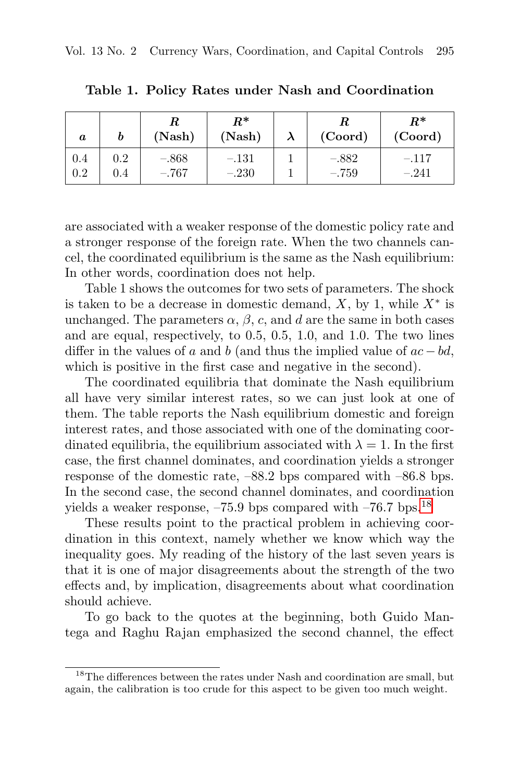| $\boldsymbol{a}$ |     | R<br>(Nash) | $R^*$<br>(Nash) | (Coord) | $R^*$<br>(Coord) |
|------------------|-----|-------------|-----------------|---------|------------------|
| 0.4              | 0.2 | $-.868$     | $-.131$         | $-.882$ | $-.117$          |
| $0.2\,$          | 0.4 | $-.767$     | $-.230$         | $-.759$ | $-.241$          |

**Table 1. Policy Rates under Nash and Coordination**

are associated with a weaker response of the domestic policy rate and a stronger response of the foreign rate. When the two channels cancel, the coordinated equilibrium is the same as the Nash equilibrium: In other words, coordination does not help.

Table 1 shows the outcomes for two sets of parameters. The shock is taken to be a decrease in domestic demand,  $X$ , by 1, while  $X^*$  is unchanged. The parameters  $\alpha$ ,  $\beta$ , c, and d are the same in both cases and are equal, respectively, to 0.5, 0.5, 1.0, and 1.0. The two lines differ in the values of a and b (and thus the implied value of  $ac - bd$ , which is positive in the first case and negative in the second).

The coordinated equilibria that dominate the Nash equilibrium all have very similar interest rates, so we can just look at one of them. The table reports the Nash equilibrium domestic and foreign interest rates, and those associated with one of the dominating coordinated equilibria, the equilibrium associated with  $\lambda = 1$ . In the first case, the first channel dominates, and coordination yields a stronger response of the domestic rate, –88.2 bps compared with –86.8 bps. In the second case, the second channel dominates, and coordination yields a weaker response,  $-75.9$  bps compared with  $-76.7$  bps.<sup>18</sup>

These results point to the practical problem in achieving coordination in this context, namely whether we know which way the inequality goes. My reading of the history of the last seven years is that it is one of major disagreements about the strength of the two effects and, by implication, disagreements about what coordination should achieve.

To go back to the quotes at the beginning, both Guido Mantega and Raghu Rajan emphasized the second channel, the effect

<sup>&</sup>lt;sup>18</sup>The differences between the rates under Nash and coordination are small, but again, the calibration is too crude for this aspect to be given too much weight.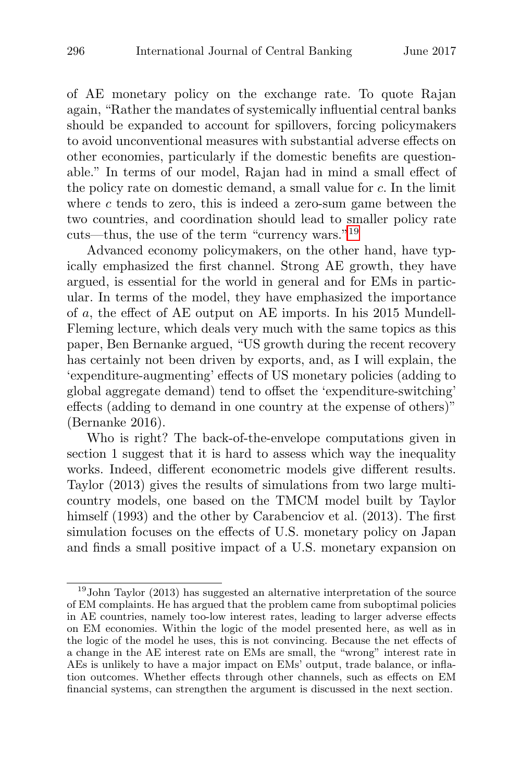of AE monetary policy on the exchange rate. To quote Rajan again, "Rather the mandates of systemically influential central banks should be expanded to account for spillovers, forcing policymakers to avoid unconventional measures with substantial adverse effects on other economies, particularly if the domestic benefits are questionable." In terms of our model, Rajan had in mind a small effect of the policy rate on domestic demand, a small value for c. In the limit where  $c$  tends to zero, this is indeed a zero-sum game between the two countries, and coordination should lead to smaller policy rate cuts—thus, the use of the term "currency wars."<sup>19</sup>

Advanced economy policymakers, on the other hand, have typically emphasized the first channel. Strong AE growth, they have argued, is essential for the world in general and for EMs in particular. In terms of the model, they have emphasized the importance of a, the effect of AE output on AE imports. In his 2015 Mundell-Fleming lecture, which deals very much with the same topics as this paper, Ben Bernanke argued, "US growth during the recent recovery has certainly not been driven by exports, and, as I will explain, the 'expenditure-augmenting' effects of US monetary policies (adding to global aggregate demand) tend to offset the 'expenditure-switching' effects (adding to demand in one country at the expense of others)" (Bernanke 2016).

Who is right? The back-of-the-envelope computations given in section 1 suggest that it is hard to assess which way the inequality works. Indeed, different econometric models give different results. Taylor (2013) gives the results of simulations from two large multicountry models, one based on the TMCM model built by Taylor himself (1993) and the other by Carabenciov et al. (2013). The first simulation focuses on the effects of U.S. monetary policy on Japan and finds a small positive impact of a U.S. monetary expansion on

<sup>19</sup>John Taylor (2013) has suggested an alternative interpretation of the source of EM complaints. He has argued that the problem came from suboptimal policies in AE countries, namely too-low interest rates, leading to larger adverse effects on EM economies. Within the logic of the model presented here, as well as in the logic of the model he uses, this is not convincing. Because the net effects of a change in the AE interest rate on EMs are small, the "wrong" interest rate in AEs is unlikely to have a major impact on EMs' output, trade balance, or inflation outcomes. Whether effects through other channels, such as effects on EM financial systems, can strengthen the argument is discussed in the next section.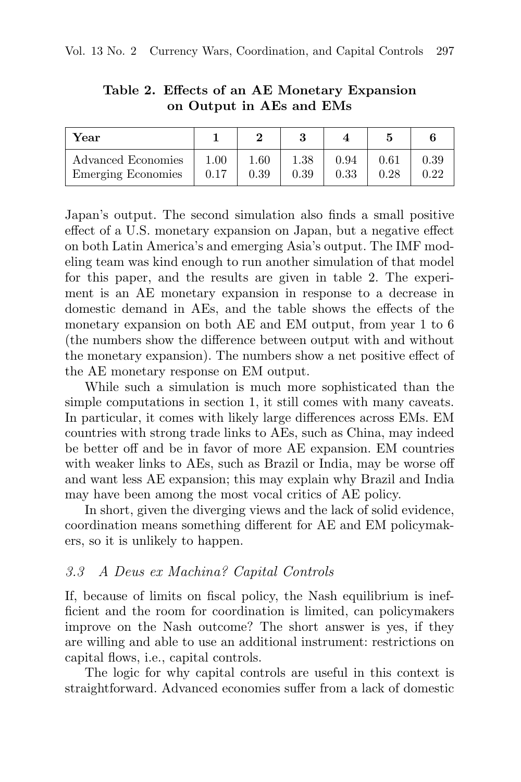| Year               |      |          |      |      |            |      |
|--------------------|------|----------|------|------|------------|------|
| Advanced Economies | 1.00 | $1.60\,$ | 1.38 | 0.94 | $\rm 0.61$ | 0.39 |
| Emerging Economies | 0.17 | 0.39     | 0.39 | 0.33 | 0.28       | 0.22 |

**Table 2. Effects of an AE Monetary Expansion on Output in AEs and EMs**

Japan's output. The second simulation also finds a small positive effect of a U.S. monetary expansion on Japan, but a negative effect on both Latin America's and emerging Asia's output. The IMF modeling team was kind enough to run another simulation of that model for this paper, and the results are given in table 2. The experiment is an AE monetary expansion in response to a decrease in domestic demand in AEs, and the table shows the effects of the monetary expansion on both AE and EM output, from year 1 to 6 (the numbers show the difference between output with and without the monetary expansion). The numbers show a net positive effect of the AE monetary response on EM output.

While such a simulation is much more sophisticated than the simple computations in section 1, it still comes with many caveats. In particular, it comes with likely large differences across EMs. EM countries with strong trade links to AEs, such as China, may indeed be better off and be in favor of more AE expansion. EM countries with weaker links to AEs, such as Brazil or India, may be worse off and want less AE expansion; this may explain why Brazil and India may have been among the most vocal critics of AE policy.

In short, given the diverging views and the lack of solid evidence, coordination means something different for AE and EM policymakers, so it is unlikely to happen.

## 3.3 A Deus ex Machina? Capital Controls

If, because of limits on fiscal policy, the Nash equilibrium is inefficient and the room for coordination is limited, can policymakers improve on the Nash outcome? The short answer is yes, if they are willing and able to use an additional instrument: restrictions on capital flows, i.e., capital controls.

The logic for why capital controls are useful in this context is straightforward. Advanced economies suffer from a lack of domestic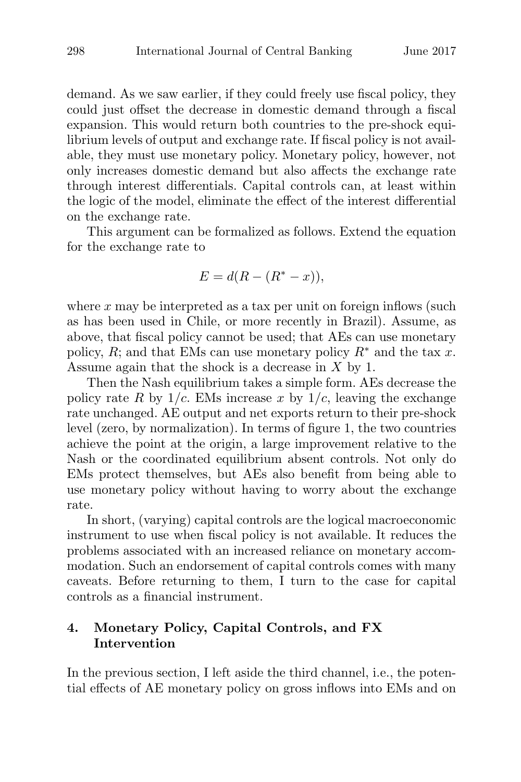demand. As we saw earlier, if they could freely use fiscal policy, they could just offset the decrease in domestic demand through a fiscal expansion. This would return both countries to the pre-shock equilibrium levels of output and exchange rate. If fiscal policy is not available, they must use monetary policy. Monetary policy, however, not only increases domestic demand but also affects the exchange rate through interest differentials. Capital controls can, at least within the logic of the model, eliminate the effect of the interest differential on the exchange rate.

This argument can be formalized as follows. Extend the equation for the exchange rate to

$$
E = d(R - (R^* - x)),
$$

where  $x$  may be interpreted as a tax per unit on foreign inflows (such as has been used in Chile, or more recently in Brazil). Assume, as above, that fiscal policy cannot be used; that AEs can use monetary policy, R; and that EMs can use monetary policy  $R^*$  and the tax x. Assume again that the shock is a decrease in  $X$  by 1.

Then the Nash equilibrium takes a simple form. AEs decrease the policy rate R by  $1/c$ . EMs increase x by  $1/c$ , leaving the exchange rate unchanged. AE output and net exports return to their pre-shock level (zero, by normalization). In terms of figure 1, the two countries achieve the point at the origin, a large improvement relative to the Nash or the coordinated equilibrium absent controls. Not only do EMs protect themselves, but AEs also benefit from being able to use monetary policy without having to worry about the exchange rate.

In short, (varying) capital controls are the logical macroeconomic instrument to use when fiscal policy is not available. It reduces the problems associated with an increased reliance on monetary accommodation. Such an endorsement of capital controls comes with many caveats. Before returning to them, I turn to the case for capital controls as a financial instrument.

#### **4. Monetary Policy, Capital Controls, and FX Intervention**

In the previous section, I left aside the third channel, i.e., the potential effects of AE monetary policy on gross inflows into EMs and on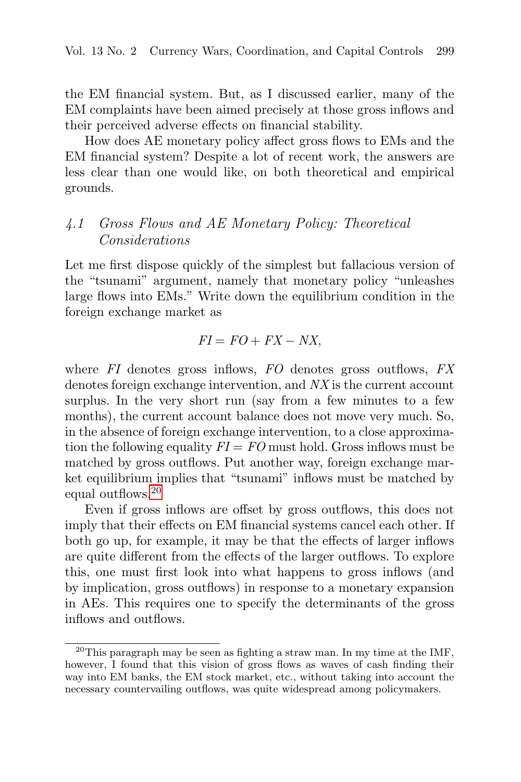the EM financial system. But, as I discussed earlier, many of the EM complaints have been aimed precisely at those gross inflows and their perceived adverse effects on financial stability.

How does AE monetary policy affect gross flows to EMs and the EM financial system? Despite a lot of recent work, the answers are less clear than one would like, on both theoretical and empirical grounds.

# 4.1 Gross Flows and AE Monetary Policy: Theoretical Considerations

Let me first dispose quickly of the simplest but fallacious version of the "tsunami" argument, namely that monetary policy "unleashes large flows into EMs." Write down the equilibrium condition in the foreign exchange market as

$$
FI = FO + FX -NX,
$$

where  $FI$  denotes gross inflows,  $FO$  denotes gross outflows,  $FX$ denotes foreign exchange intervention, and NX is the current account surplus. In the very short run (say from a few minutes to a few months), the current account balance does not move very much. So, in the absence of foreign exchange intervention, to a close approximation the following equality  $FI = FO$  must hold. Gross inflows must be matched by gross outflows. Put another way, foreign exchange market equilibrium implies that "tsunami" inflows must be matched by equal outflows.<sup>20</sup>

Even if gross inflows are offset by gross outflows, this does not imply that their effects on EM financial systems cancel each other. If both go up, for example, it may be that the effects of larger inflows are quite different from the effects of the larger outflows. To explore this, one must first look into what happens to gross inflows (and by implication, gross outflows) in response to a monetary expansion in AEs. This requires one to specify the determinants of the gross inflows and outflows.

 $^{20}$ This paragraph may be seen as fighting a straw man. In my time at the IMF, however, I found that this vision of gross flows as waves of cash finding their way into EM banks, the EM stock market, etc., without taking into account the necessary countervailing outflows, was quite widespread among policymakers.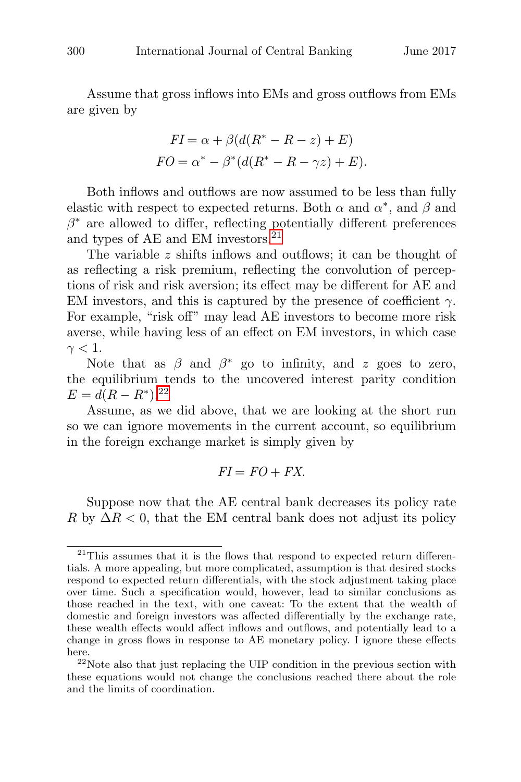Assume that gross inflows into EMs and gross outflows from EMs are given by

$$
FI = \alpha + \beta(d(R^* - R - z) + E)
$$

$$
FO = \alpha^* - \beta^*(d(R^* - R - \gamma z) + E).
$$

Both inflows and outflows are now assumed to be less than fully elastic with respect to expected returns. Both  $\alpha$  and  $\alpha^*$ , and  $\beta$  and  $\beta^*$  are allowed to differ, reflecting potentially different preferences and types of AE and EM investors.<sup>21</sup>

The variable z shifts inflows and outflows; it can be thought of as reflecting a risk premium, reflecting the convolution of perceptions of risk and risk aversion; its effect may be different for AE and EM investors, and this is captured by the presence of coefficient  $\gamma$ . For example, "risk off" may lead AE investors to become more risk averse, while having less of an effect on EM investors, in which case  $\gamma < 1$ .

Note that as  $\beta$  and  $\beta^*$  go to infinity, and z goes to zero, the equilibrium tends to the uncovered interest parity condition  $E = d(R - R^*)^{22}$ 

Assume, as we did above, that we are looking at the short run so we can ignore movements in the current account, so equilibrium in the foreign exchange market is simply given by

$$
FI = FO + FX.
$$

Suppose now that the AE central bank decreases its policy rate R by  $\Delta R$  < 0, that the EM central bank does not adjust its policy

 $21$ This assumes that it is the flows that respond to expected return differentials. A more appealing, but more complicated, assumption is that desired stocks respond to expected return differentials, with the stock adjustment taking place over time. Such a specification would, however, lead to similar conclusions as those reached in the text, with one caveat: To the extent that the wealth of domestic and foreign investors was affected differentially by the exchange rate, these wealth effects would affect inflows and outflows, and potentially lead to a change in gross flows in response to AE monetary policy. I ignore these effects here.  $^{22}$ Note also that just replacing the UIP condition in the previous section with

these equations would not change the conclusions reached there about the role and the limits of coordination.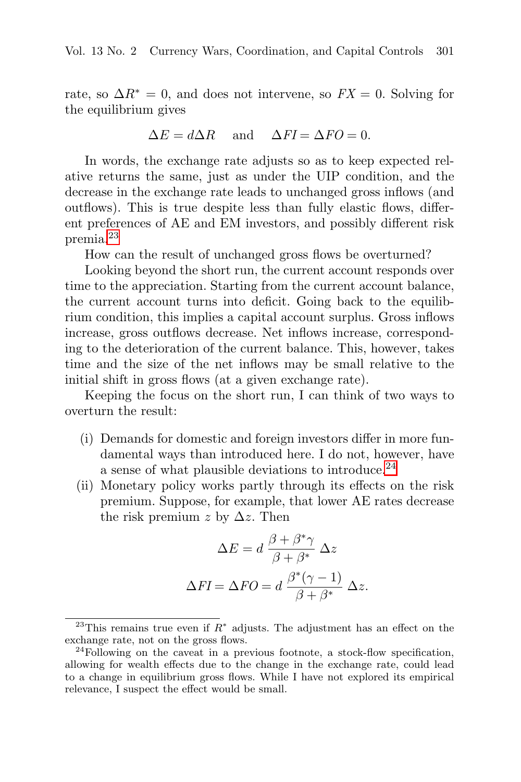rate, so  $\Delta R^* = 0$ , and does not intervene, so  $FX = 0$ . Solving for the equilibrium gives

$$
\Delta E = d\Delta R \quad \text{and} \quad \Delta FI = \Delta FO = 0.
$$

In words, the exchange rate adjusts so as to keep expected relative returns the same, just as under the UIP condition, and the decrease in the exchange rate leads to unchanged gross inflows (and outflows). This is true despite less than fully elastic flows, different preferences of AE and EM investors, and possibly different risk premia.<sup>23</sup>

How can the result of unchanged gross flows be overturned?

Looking beyond the short run, the current account responds over time to the appreciation. Starting from the current account balance, the current account turns into deficit. Going back to the equilibrium condition, this implies a capital account surplus. Gross inflows increase, gross outflows decrease. Net inflows increase, corresponding to the deterioration of the current balance. This, however, takes time and the size of the net inflows may be small relative to the initial shift in gross flows (at a given exchange rate).

Keeping the focus on the short run, I can think of two ways to overturn the result:

- (i) Demands for domestic and foreign investors differ in more fundamental ways than introduced here. I do not, however, have a sense of what plausible deviations to introduce.<sup>24</sup>
- (ii) Monetary policy works partly through its effects on the risk premium. Suppose, for example, that lower AE rates decrease the risk premium z by  $\Delta z$ . Then

$$
\Delta E = d \frac{\beta + \beta^* \gamma}{\beta + \beta^*} \Delta z
$$

$$
\Delta FI = \Delta FO = d \frac{\beta^* (\gamma - 1)}{\beta + \beta^*} \Delta z.
$$

<sup>&</sup>lt;sup>23</sup>This remains true even if  $R^*$  adjusts. The adjustment has an effect on the exchange rate, not on the gross flows.  $^{24}$ Following on the caveat in a previous footnote, a stock-flow specification,

allowing for wealth effects due to the change in the exchange rate, could lead to a change in equilibrium gross flows. While I have not explored its empirical relevance, I suspect the effect would be small.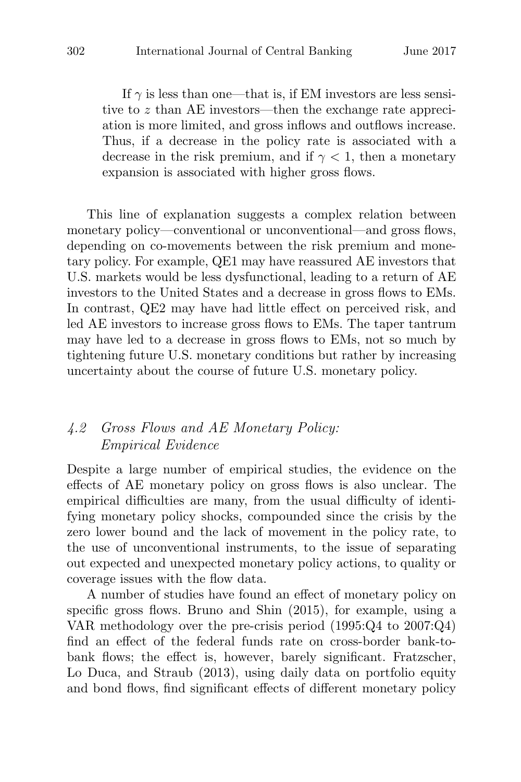If  $\gamma$  is less than one—that is, if EM investors are less sensitive to z than AE investors—then the exchange rate appreciation is more limited, and gross inflows and outflows increase. Thus, if a decrease in the policy rate is associated with a decrease in the risk premium, and if  $\gamma$  < 1, then a monetary expansion is associated with higher gross flows.

This line of explanation suggests a complex relation between monetary policy—conventional or unconventional—and gross flows, depending on co-movements between the risk premium and monetary policy. For example, QE1 may have reassured AE investors that U.S. markets would be less dysfunctional, leading to a return of AE investors to the United States and a decrease in gross flows to EMs. In contrast, QE2 may have had little effect on perceived risk, and led AE investors to increase gross flows to EMs. The taper tantrum may have led to a decrease in gross flows to EMs, not so much by tightening future U.S. monetary conditions but rather by increasing uncertainty about the course of future U.S. monetary policy.

# 4.2 Gross Flows and AE Monetary Policy: Empirical Evidence

Despite a large number of empirical studies, the evidence on the effects of AE monetary policy on gross flows is also unclear. The empirical difficulties are many, from the usual difficulty of identifying monetary policy shocks, compounded since the crisis by the zero lower bound and the lack of movement in the policy rate, to the use of unconventional instruments, to the issue of separating out expected and unexpected monetary policy actions, to quality or coverage issues with the flow data.

A number of studies have found an effect of monetary policy on specific gross flows. Bruno and Shin (2015), for example, using a VAR methodology over the pre-crisis period (1995:Q4 to 2007:Q4) find an effect of the federal funds rate on cross-border bank-tobank flows; the effect is, however, barely significant. Fratzscher, Lo Duca, and Straub (2013), using daily data on portfolio equity and bond flows, find significant effects of different monetary policy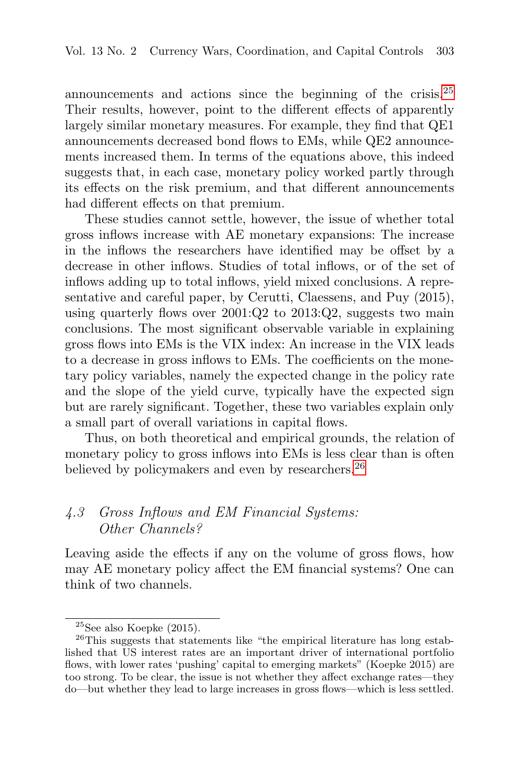announcements and actions since the beginning of the crisis.<sup>25</sup> Their results, however, point to the different effects of apparently largely similar monetary measures. For example, they find that QE1 announcements decreased bond flows to EMs, while QE2 announcements increased them. In terms of the equations above, this indeed suggests that, in each case, monetary policy worked partly through its effects on the risk premium, and that different announcements had different effects on that premium.

These studies cannot settle, however, the issue of whether total gross inflows increase with AE monetary expansions: The increase in the inflows the researchers have identified may be offset by a decrease in other inflows. Studies of total inflows, or of the set of inflows adding up to total inflows, yield mixed conclusions. A representative and careful paper, by Cerutti, Claessens, and Puy (2015), using quarterly flows over 2001:Q2 to 2013:Q2, suggests two main conclusions. The most significant observable variable in explaining gross flows into EMs is the VIX index: An increase in the VIX leads to a decrease in gross inflows to EMs. The coefficients on the monetary policy variables, namely the expected change in the policy rate and the slope of the yield curve, typically have the expected sign but are rarely significant. Together, these two variables explain only a small part of overall variations in capital flows.

Thus, on both theoretical and empirical grounds, the relation of monetary policy to gross inflows into EMs is less clear than is often believed by policymakers and even by researchers.<sup>26</sup>

# 4.3 Gross Inflows and EM Financial Systems: Other Channels?

Leaving aside the effects if any on the volume of gross flows, how may AE monetary policy affect the EM financial systems? One can think of two channels.

<sup>&</sup>lt;sup>25</sup>See also Koepke (2015). <sup>26</sup>This suggests that statements like "the empirical literature has long established that US interest rates are an important driver of international portfolio flows, with lower rates 'pushing' capital to emerging markets" (Koepke 2015) are too strong. To be clear, the issue is not whether they affect exchange rates—they do—but whether they lead to large increases in gross flows—which is less settled.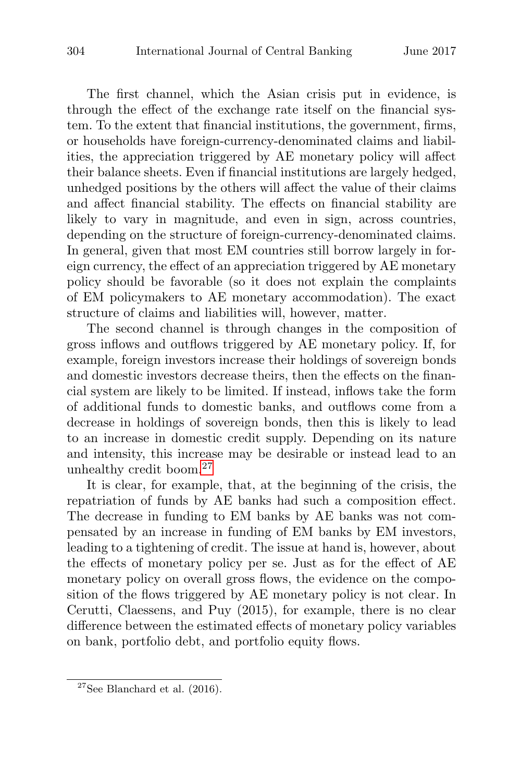The first channel, which the Asian crisis put in evidence, is through the effect of the exchange rate itself on the financial system. To the extent that financial institutions, the government, firms, or households have foreign-currency-denominated claims and liabilities, the appreciation triggered by AE monetary policy will affect their balance sheets. Even if financial institutions are largely hedged, unhedged positions by the others will affect the value of their claims and affect financial stability. The effects on financial stability are likely to vary in magnitude, and even in sign, across countries, depending on the structure of foreign-currency-denominated claims. In general, given that most EM countries still borrow largely in foreign currency, the effect of an appreciation triggered by AE monetary policy should be favorable (so it does not explain the complaints of EM policymakers to AE monetary accommodation). The exact structure of claims and liabilities will, however, matter.

The second channel is through changes in the composition of gross inflows and outflows triggered by AE monetary policy. If, for example, foreign investors increase their holdings of sovereign bonds and domestic investors decrease theirs, then the effects on the financial system are likely to be limited. If instead, inflows take the form of additional funds to domestic banks, and outflows come from a decrease in holdings of sovereign bonds, then this is likely to lead to an increase in domestic credit supply. Depending on its nature and intensity, this increase may be desirable or instead lead to an unhealthy credit boom.<sup>27</sup>

It is clear, for example, that, at the beginning of the crisis, the repatriation of funds by AE banks had such a composition effect. The decrease in funding to EM banks by AE banks was not compensated by an increase in funding of EM banks by EM investors, leading to a tightening of credit. The issue at hand is, however, about the effects of monetary policy per se. Just as for the effect of AE monetary policy on overall gross flows, the evidence on the composition of the flows triggered by AE monetary policy is not clear. In Cerutti, Claessens, and Puy (2015), for example, there is no clear difference between the estimated effects of monetary policy variables on bank, portfolio debt, and portfolio equity flows.

 $27$ See Blanchard et al.  $(2016)$ .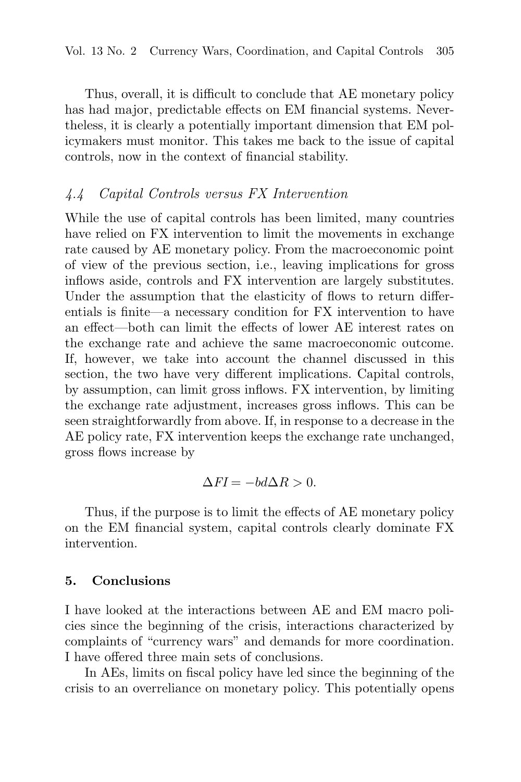Thus, overall, it is difficult to conclude that AE monetary policy has had major, predictable effects on EM financial systems. Nevertheless, it is clearly a potentially important dimension that EM policymakers must monitor. This takes me back to the issue of capital controls, now in the context of financial stability.

# 4.4 Capital Controls versus FX Intervention

While the use of capital controls has been limited, many countries have relied on FX intervention to limit the movements in exchange rate caused by AE monetary policy. From the macroeconomic point of view of the previous section, i.e., leaving implications for gross inflows aside, controls and FX intervention are largely substitutes. Under the assumption that the elasticity of flows to return differentials is finite—a necessary condition for FX intervention to have an effect—both can limit the effects of lower AE interest rates on the exchange rate and achieve the same macroeconomic outcome. If, however, we take into account the channel discussed in this section, the two have very different implications. Capital controls, by assumption, can limit gross inflows. FX intervention, by limiting the exchange rate adjustment, increases gross inflows. This can be seen straightforwardly from above. If, in response to a decrease in the AE policy rate, FX intervention keeps the exchange rate unchanged, gross flows increase by

$$
\Delta FI = -bd\Delta R > 0.
$$

Thus, if the purpose is to limit the effects of AE monetary policy on the EM financial system, capital controls clearly dominate FX intervention.

#### **5. Conclusions**

I have looked at the interactions between AE and EM macro policies since the beginning of the crisis, interactions characterized by complaints of "currency wars" and demands for more coordination. I have offered three main sets of conclusions.

In AEs, limits on fiscal policy have led since the beginning of the crisis to an overreliance on monetary policy. This potentially opens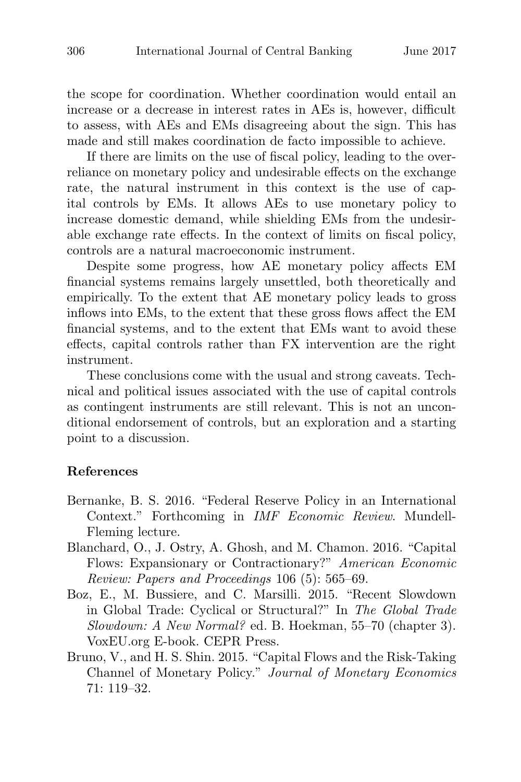the scope for coordination. Whether coordination would entail an increase or a decrease in interest rates in AEs is, however, difficult to assess, with AEs and EMs disagreeing about the sign. This has made and still makes coordination de facto impossible to achieve.

If there are limits on the use of fiscal policy, leading to the overreliance on monetary policy and undesirable effects on the exchange rate, the natural instrument in this context is the use of capital controls by EMs. It allows AEs to use monetary policy to increase domestic demand, while shielding EMs from the undesirable exchange rate effects. In the context of limits on fiscal policy, controls are a natural macroeconomic instrument.

Despite some progress, how AE monetary policy affects EM financial systems remains largely unsettled, both theoretically and empirically. To the extent that AE monetary policy leads to gross inflows into EMs, to the extent that these gross flows affect the EM financial systems, and to the extent that EMs want to avoid these effects, capital controls rather than FX intervention are the right instrument.

These conclusions come with the usual and strong caveats. Technical and political issues associated with the use of capital controls as contingent instruments are still relevant. This is not an unconditional endorsement of controls, but an exploration and a starting point to a discussion.

#### **References**

- Bernanke, B. S. 2016. "Federal Reserve Policy in an International Context." Forthcoming in IMF Economic Review. Mundell-Fleming lecture.
- Blanchard, O., J. Ostry, A. Ghosh, and M. Chamon. 2016. "Capital Flows: Expansionary or Contractionary?" American Economic Review: Papers and Proceedings 106 (5): 565–69.
- Boz, E., M. Bussiere, and C. Marsilli. 2015. "Recent Slowdown in Global Trade: Cyclical or Structural?" In The Global Trade Slowdown: A New Normal? ed. B. Hoekman, 55–70 (chapter 3). VoxEU.org E-book. CEPR Press.
- Bruno, V., and H. S. Shin. 2015. "Capital Flows and the Risk-Taking Channel of Monetary Policy." Journal of Monetary Economics 71: 119–32.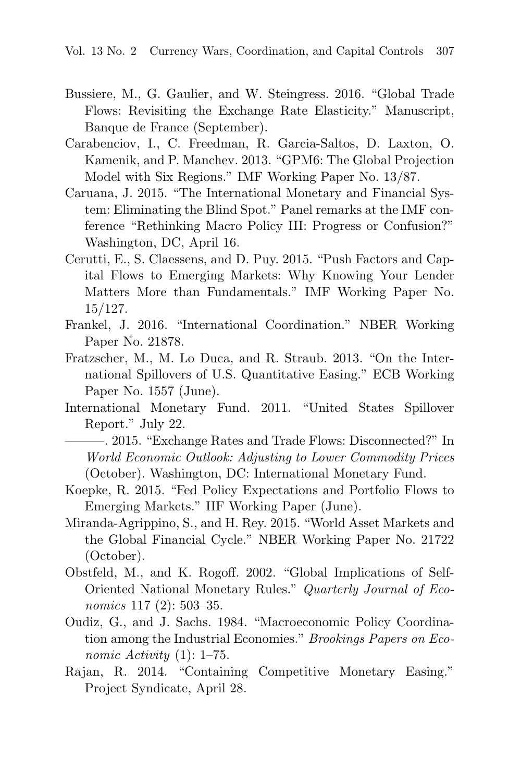- Bussiere, M., G. Gaulier, and W. Steingress. 2016. "Global Trade Flows: Revisiting the Exchange Rate Elasticity." Manuscript, Banque de France (September).
- Carabenciov, I., C. Freedman, R. Garcia-Saltos, D. Laxton, O. Kamenik, and P. Manchev. 2013. "GPM6: The Global Projection Model with Six Regions." IMF Working Paper No. 13/87.
- Caruana, J. 2015. "The International Monetary and Financial System: Eliminating the Blind Spot." Panel remarks at the IMF conference "Rethinking Macro Policy III: Progress or Confusion?" Washington, DC, April 16.
- Cerutti, E., S. Claessens, and D. Puy. 2015. "Push Factors and Capital Flows to Emerging Markets: Why Knowing Your Lender Matters More than Fundamentals." IMF Working Paper No. 15/127.
- Frankel, J. 2016. "International Coordination." NBER Working Paper No. 21878.
- Fratzscher, M., M. Lo Duca, and R. Straub. 2013. "On the International Spillovers of U.S. Quantitative Easing." ECB Working Paper No. 1557 (June).
- International Monetary Fund. 2011. "United States Spillover Report." July 22.
- ———. 2015. "Exchange Rates and Trade Flows: Disconnected?" In World Economic Outlook: Adjusting to Lower Commodity Prices (October). Washington, DC: International Monetary Fund.
- Koepke, R. 2015. "Fed Policy Expectations and Portfolio Flows to Emerging Markets." IIF Working Paper (June).
- Miranda-Agrippino, S., and H. Rey. 2015. "World Asset Markets and the Global Financial Cycle." NBER Working Paper No. 21722 (October).
- Obstfeld, M., and K. Rogoff. 2002. "Global Implications of Self-Oriented National Monetary Rules." Quarterly Journal of Economics 117 (2): 503-35.
- Oudiz, G., and J. Sachs. 1984. "Macroeconomic Policy Coordination among the Industrial Economies." Brookings Papers on Economic Activity  $(1)$ : 1–75.
- Rajan, R. 2014. "Containing Competitive Monetary Easing." Project Syndicate, April 28.